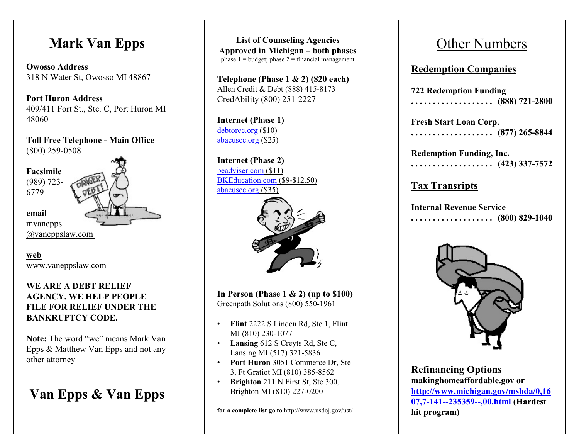# **Mark Van Epps**

**Owosso Address** 318 N W ater St, Owosso MI 48867

**P ort Huron Address** 409/411 Fort St., Ste. C, Port Huron MI 48060

**Toll Free Telephone - Main Office** (800) 259-0508



**email** [mvanepps](mailto:mvanepps@vaneppslaw.com)

[@vaneppslaw.com](mailto:mvanepps@vaneppslaw.com)

**web** [www.vaneppslaw.com](http://www.vaneppslaw.com)

### **WE ARE A DEBT RELIEF AGENCY. WE HELP PEOPLE FILE FOR RELIEF UNDER THE BANKRUPTCY CODE.**

**Note:** The word "we" means Mark Van Epps & Matthew Van Epps and not any other attorney

# **Van Epps & Van Epps**

**List of Counseling Agencies Approved in Michigan – both phases** phase  $1 =$  budget; phase  $2 =$  financial management

**Telephone (Phase 1 & 2) (\$20 each)** Al len Credi t & Debt (888) 415-8173 CredAbility (800) 251-2227

**Internet (Phase 1)** [debtorcc.or](http://www.abacuscc.org) g (\$10) abacuscc.or g (\$25)

**Internet (Phase 2)** beadv [iser.com](http://www.beadviser.com) (\$11) [BKEducat](http://www.BKEducation.com) ion.com (\$9-\$12.50) [abacuscc.or](http://www.abacuscc.org) g (\$35)



**In P erson (Phase 1 & 2) (up to \$100)** Greenpath Solutions (800) 550-1961

- **Flint** 2222 S Linden Rd, Ste 1, Fl int M I (810) 230-1077
- **Lansing** 612 S Crey ts Rd, Ste C, Lansing M I (517) 321-5836
- Port Huron 3051 Commerce Dr, Ste 3, Ft Grat iot M I (810) 385-8562
- **Brighton** 211 N First St, Ste 300, Br i ghton M I (810) 227-0200

for a complete list go to http://www.usdoj.gov/ust/

# Other Numbers

## **Redempti on Co mpanies**

**722 Redemption Funding . . . . . . . . . . . . . . . . . . . (888) 721-2800**

**Fresh Start Loan Corp. . . . . . . . . . . . . . . . . . . . (877) 265-8844**

**Redemption Funding, Inc. . . . . . . . . . . . . . . . . . . . (423) 337-7572**

**Ta x Transripts**

**Internal Revenue Service . . . . . . . . . . . . . . . . . . . (800) 829-1040**



**Refinancing Options makinghomeaffordable.gov or http://w w [w.michigan.gov/mshda/0,16](http://www.michigan.gov/mshda/0,1607,7-141--235359--,00.html) [07,7-141--235359--,00.htm](http://www.michigan.gov/mshda/0,1607,7-141--235359--,00.html) l (Hardest hit program )**